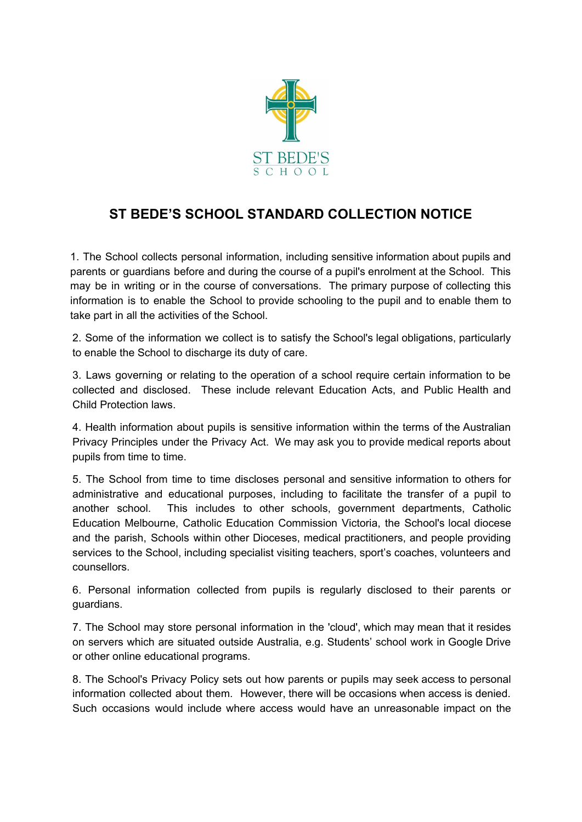

## **ST BEDE'S SCHOOL STANDARD COLLECTION NOTICE**

1. The School collects personal information, including sensitive information about pupils and parents or guardians before and during the course of a pupil's enrolment at the School. This may be in writing or in the course of conversations. The primary purpose of collecting this information is to enable the School to provide schooling to the pupil and to enable them to take part in all the activities of the School.

2. Some of the information we collect is to satisfy the School's legal obligations, particularly to enable the School to discharge its duty of care.

3. Laws governing or relating to the operation of a school require certain information to be collected and disclosed. These include relevant Education Acts, and Public Health and Child Protection laws.

4. Health information about pupils is sensitive information within the terms of the Australian Privacy Principles under the Privacy Act. We may ask you to provide medical reports about pupils from time to time.

5. The School from time to time discloses personal and sensitive information to others for administrative and educational purposes, including to facilitate the transfer of a pupil to another school. This includes to other schools, government departments, Catholic Education Melbourne, Catholic Education Commission Victoria, the School's local diocese and the parish, Schools within other Dioceses, medical practitioners, and people providing services to the School, including specialist visiting teachers, sport's coaches, volunteers and counsellors.

6. Personal information collected from pupils is regularly disclosed to their parents or guardians.

7. The School may store personal information in the 'cloud', which may mean that it resides on servers which are situated outside Australia, e.g. Students' school work in Google Drive or other online educational programs.

8. The School's Privacy Policy sets out how parents or pupils may seek access to personal information collected about them. However, there will be occasions when access is denied. Such occasions would include where access would have an unreasonable impact on the